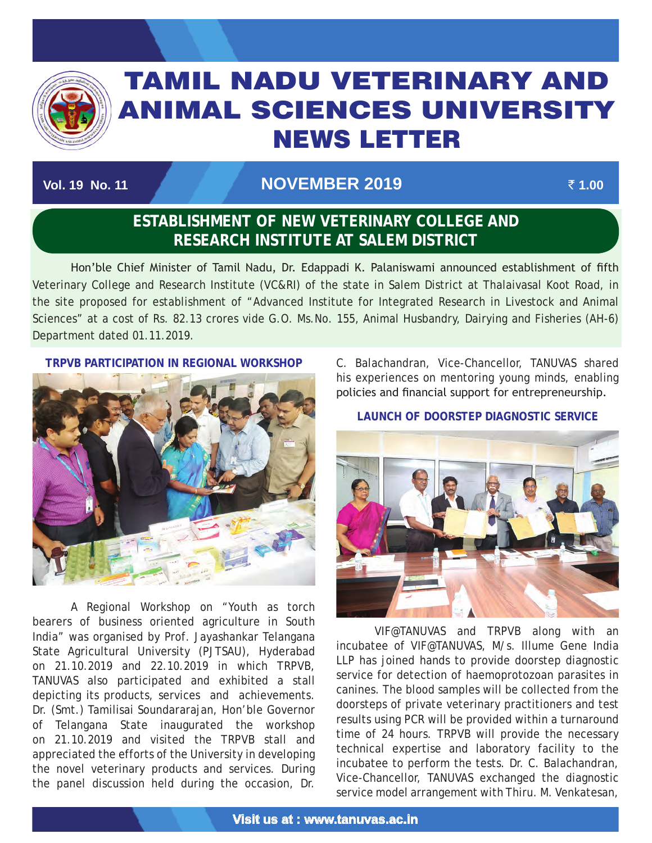

# TAMIL NADU VETERINARY AND ANIMAL SCIENCES UNIVERSITY News Letter

# **Vol. 19 No. 11 November 2019** ` **1.00**

TAMIL NADU VETERINARY AND ANIMAL SCIENCES UNIVERSITY OF A SECOND AND ANIMAL SCIENCES UNIVERSITY OF A SECOND AN

# **ESTABLISHMENT OF NEW VETERINARY COLLEGE AND RESEARCH INSTITUTE AT SALEM DISTRICT**

 Hon'ble Chief Minister of Tamil Nadu, Dr. Edappadi K. Palaniswami announced establishment of fifth Veterinary College and Research Institute (VC&RI) of the state in Salem District at Thalaivasal Koot Road, in the site proposed for establishment of "Advanced Institute for Integrated Research in Livestock and Animal Sciences" at a cost of Rs. 82.13 crores vide G.O. Ms.No. 155, Animal Husbandry, Dairying and Fisheries (AH-6) Department dated 01.11.2019.

**TRPVB PARTICIPATION IN REGIONAL WORKSHOP**



A Regional Workshop on "Youth as torch bearers of business oriented agriculture in South India" was organised by Prof. Jayashankar Telangana State Agricultural University (PJTSAU), Hyderabad on 21.10.2019 and 22.10.2019 in which TRPVB, TANUVAS also participated and exhibited a stall depicting its products, services and achievements. Dr. (Smt.) Tamilisai Soundararajan, Hon'ble Governor of Telangana State inaugurated the workshop on 21.10.2019 and visited the TRPVB stall and appreciated the efforts of the University in developing the novel veterinary products and services. During the panel discussion held during the occasion, Dr.

C. Balachandran, Vice-Chancellor, TANUVAS shared his experiences on mentoring young minds, enabling policies and financial support for entrepreneurship.

**LAUNCH OF DOORSTEP DIAGNOSTIC SERVICE** 



VIF@TANUVAS and TRPVB along with an incubatee of VIF@TANUVAS, M/s. Illume Gene India LLP has joined hands to provide doorstep diagnostic service for detection of haemoprotozoan parasites in canines. The blood samples will be collected from the doorsteps of private veterinary practitioners and test results using PCR will be provided within a turnaround time of 24 hours. TRPVB will provide the necessary technical expertise and laboratory facility to the incubatee to perform the tests. Dr. C. Balachandran, Vice-Chancellor, TANUVAS exchanged the diagnostic service model arrangement with Thiru. M. Venkatesan,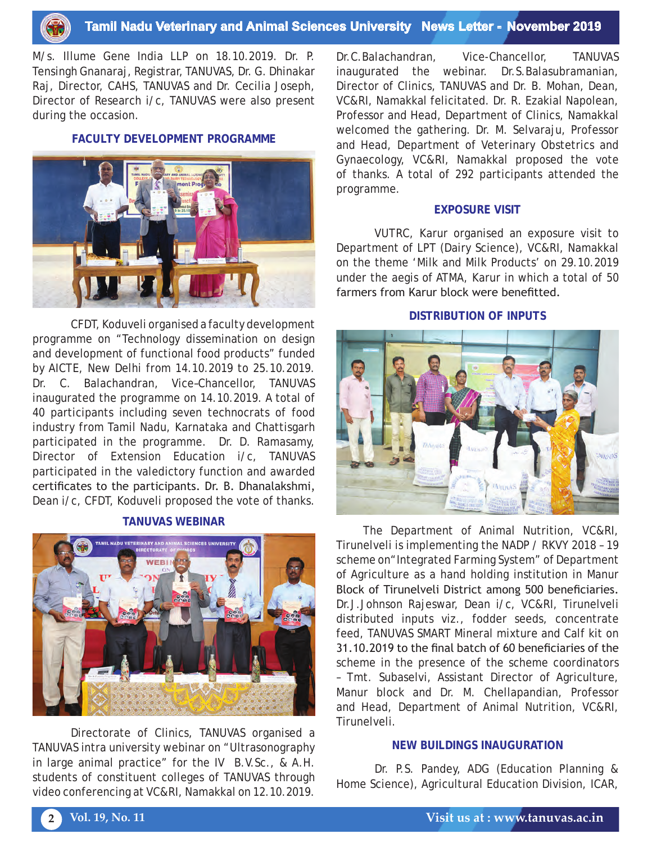

M/s. Illume Gene India LLP on 18.10.2019. Dr. P. Tensingh Gnanaraj, Registrar, TANUVAS, Dr. G. Dhinakar Raj, Director, CAHS, TANUVAS and Dr. Cecilia Joseph, Director of Research i/c, TANUVAS were also present during the occasion.

#### **FACULTY DEVELOPMENT PROGRAMME**



CFDT, Koduveli organised a faculty development programme on "Technology dissemination on design and development of functional food products" funded by AICTE, New Delhi from 14.10.2019 to 25.10.2019. Dr. C. Balachandran, Vice–Chancellor, TANUVAS inaugurated the programme on 14.10.2019. A total of 40 participants including seven technocrats of food industry from Tamil Nadu, Karnataka and Chattisgarh participated in the programme. Dr. D. Ramasamy, Director of Extension Education i/c, TANUVAS participated in the valedictory function and awarded certificates to the participants. Dr. B. Dhanalakshmi, Dean i/c, CFDT, Koduveli proposed the vote of thanks.

#### **TANUVAS WEBINAR**



Directorate of Clinics, TANUVAS organised a TANUVAS intra university webinar on "Ultrasonography in large animal practice" for the IV B.V.Sc., & A.H. students of constituent colleges of TANUVAS through video conferencing at VC&RI, Namakkal on 12.10.2019.

Dr.C.Balachandran, Vice-Chancellor, TANUVAS inaugurated the webinar. Dr.S.Balasubramanian, Director of Clinics, TANUVAS and Dr. B. Mohan, Dean, VC&RI, Namakkal felicitated. Dr. R. Ezakial Napolean, Professor and Head, Department of Clinics, Namakkal welcomed the gathering. Dr. M. Selvaraju, Professor and Head, Department of Veterinary Obstetrics and Gynaecology, VC&RI, Namakkal proposed the vote of thanks. A total of 292 participants attended the programme.

#### **EXPOSURE VISIT**

VUTRC, Karur organised an exposure visit to Department of LPT (Dairy Science), VC&RI, Namakkal on the theme 'Milk and Milk Products' on 29.10.2019 under the aegis of ATMA, Karur in which a total of 50 farmers from Karur block were benefitted.

#### **DISTRIBUTION OF INPUTS**



The Department of Animal Nutrition, VC&RI, Tirunelveli is implementing the NADP / RKVY 2018 – 19 scheme on "Integrated Farming System" of Department of Agriculture as a hand holding institution in Manur Block of Tirunelveli District among 500 beneficiaries. Dr.J.Johnson Rajeswar, Dean i/c, VC&RI, Tirunelveli distributed inputs viz., fodder seeds, concentrate feed, TANUVAS SMART Mineral mixture and Calf kit on 31.10.2019 to the final batch of 60 beneficiaries of the scheme in the presence of the scheme coordinators – Tmt. Subaselvi, Assistant Director of Agriculture, Manur block and Dr. M. Chellapandian, Professor and Head, Department of Animal Nutrition, VC&RI, Tirunelveli.

#### **NEW BUILDINGS INAUGURATION**

Dr. P.S. Pandey, ADG (Education Planning & Home Science), Agricultural Education Division, ICAR,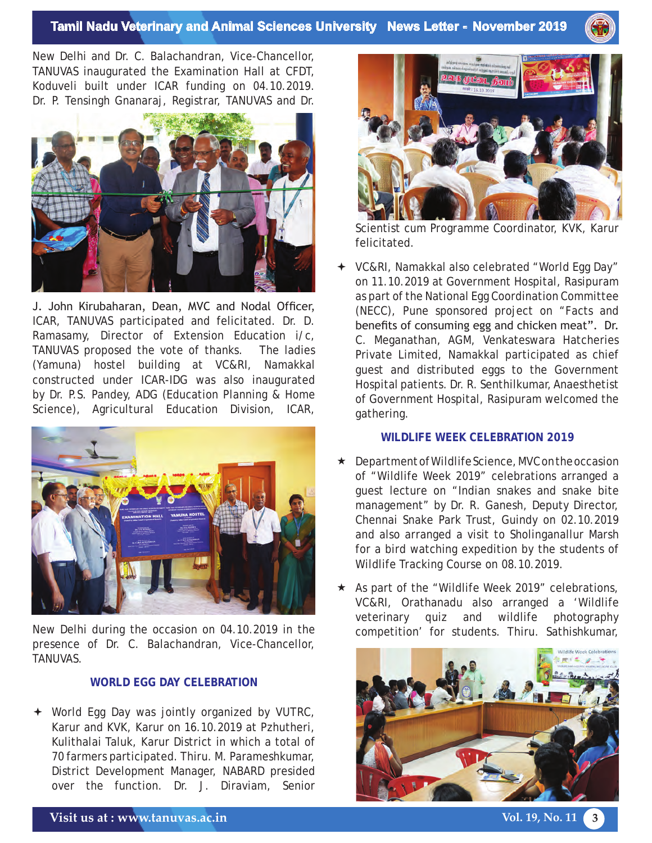### **Tamil Nadu Veterinary and Animal Sciences University News Letter - November 2019**

New Delhi and Dr. C. Balachandran, Vice-Chancellor, TANUVAS inaugurated the Examination Hall at CFDT, Koduveli built under ICAR funding on 04.10.2019. Dr. P. Tensingh Gnanaraj, Registrar, TANUVAS and Dr.



J. John Kirubaharan, Dean, MVC and Nodal Officer, ICAR, TANUVAS participated and felicitated. Dr. D. Ramasamy, Director of Extension Education i/c, TANUVAS proposed the vote of thanks. The ladies (Yamuna) hostel building at VC&RI, Namakkal constructed under ICAR-IDG was also inaugurated by Dr. P.S. Pandey, ADG (Education Planning & Home Science), Agricultural Education Division, ICAR,



New Delhi during the occasion on 04.10.2019 in the presence of Dr. C. Balachandran, Vice-Chancellor, TANUVAS.

#### **WORLD EGG DAY CELEBRATION**

 World Egg Day was jointly organized by VUTRC, Karur and KVK, Karur on 16.10.2019 at Pzhutheri, Kulithalai Taluk, Karur District in which a total of 70 farmers participated. Thiru. M. Parameshkumar, District Development Manager, NABARD presided over the function. Dr. J. Diraviam, Senior



Scientist cum Programme Coordinator, KVK, Karur felicitated.

 VC&RI, Namakkal also celebrated "World Egg Day" on 11.10.2019 at Government Hospital, Rasipuram as part of the National Egg Coordination Committee (NECC), Pune sponsored project on "Facts and benefits of consuming egg and chicken meat". Dr. C. Meganathan, AGM, Venkateswara Hatcheries Private Limited, Namakkal participated as chief guest and distributed eggs to the Government Hospital patients. Dr. R. Senthilkumar, Anaesthetist of Government Hospital, Rasipuram welcomed the gathering.

#### **WILDLIFE WEEK CELEBRATION 2019**

- Department of Wildlife Science, MVC on the occasion of "Wildlife Week 2019" celebrations arranged a guest lecture on "Indian snakes and snake bite management" by Dr. R. Ganesh, Deputy Director, Chennai Snake Park Trust, Guindy on 02.10.2019 and also arranged a visit to Sholinganallur Marsh for a bird watching expedition by the students of Wildlife Tracking Course on 08.10.2019.
- $\star$  As part of the "Wildlife Week 2019" celebrations, VC&RI, Orathanadu also arranged a 'Wildlife veterinary quiz and wildlife photography competition' for students. Thiru. Sathishkumar,

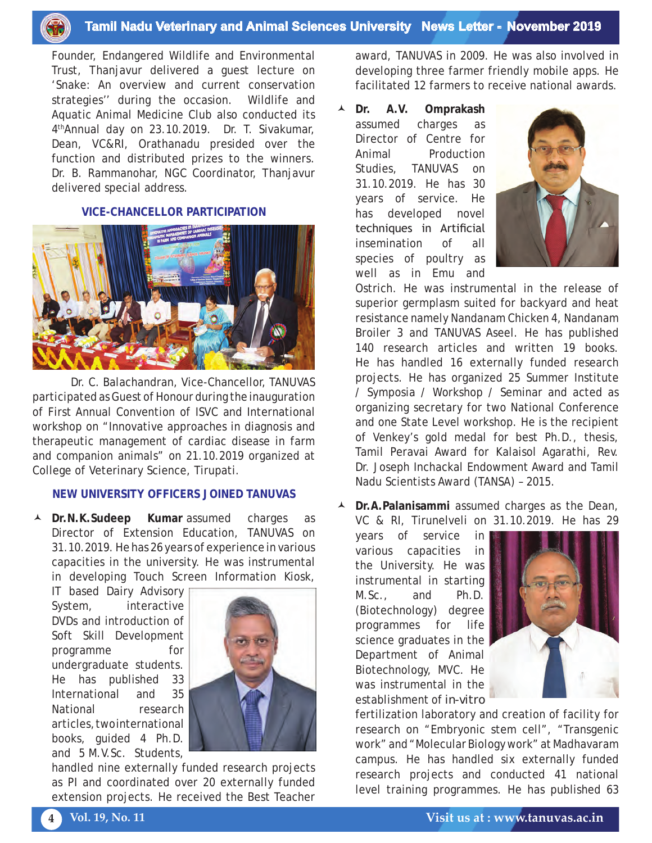

Founder, Endangered Wildlife and Environmental Trust, Thanjavur delivered a guest lecture on 'Snake: An overview and current conservation strategies'' during the occasion. Wildlife and Aquatic Animal Medicine Club also conducted its 4thAnnual day on 23.10.2019. Dr. T. Sivakumar, Dean, VC&RI, Orathanadu presided over the function and distributed prizes to the winners. Dr. B. Rammanohar, NGC Coordinator, Thanjavur delivered special address.

#### **VICE-CHANCELLOR PARTICIPATION**



Dr. C. Balachandran, Vice-Chancellor, TANUVAS participated as Guest of Honour during the inauguration of First Annual Convention of ISVC and International workshop on "Innovative approaches in diagnosis and therapeutic management of cardiac disease in farm and companion animals" on 21.10.2019 organized at College of Veterinary Science, Tirupati.

#### **NEW UNIVERSITY OFFICERS JOINED TANUVAS**

 **Dr.N.K.Sudeep Kumar** assumed charges as Director of Extension Education, TANUVAS on 31.10.2019. He has 26 years of experience in various capacities in the university. He was instrumental in developing Touch Screen Information Kiosk,

IT based Dairy Advisory System, interactive DVDs and introduction of Soft Skill Development programme for undergraduate students. He has published 33 International and 35 National research articles, two international books, guided 4 Ph.D. and 5 M.V.Sc. Students,



handled nine externally funded research projects as PI and coordinated over 20 externally funded extension projects. He received the Best Teacher

award, TANUVAS in 2009. He was also involved in developing three farmer friendly mobile apps. He facilitated 12 farmers to receive national awards.

 **Dr. A.V. Omprakash** assumed charges as Director of Centre for Animal Production Studies, TANUVAS on 31.10.2019. He has 30 years of service. He has developed novel techniques in Artificial insemination of all species of poultry as well as in Emu and



Ostrich. He was instrumental in the release of superior germplasm suited for backyard and heat resistance namely Nandanam Chicken 4, Nandanam Broiler 3 and TANUVAS Aseel. He has published 140 research articles and written 19 books. He has handled 16 externally funded research projects. He has organized 25 Summer Institute / Symposia / Workshop / Seminar and acted as organizing secretary for two National Conference and one State Level workshop. He is the recipient of Venkey's gold medal for best Ph.D., thesis, Tamil Peravai Award for Kalaisol Agarathi, Rev. Dr. Joseph Inchackal Endowment Award and Tamil Nadu Scientists Award (TANSA) – 2015.

 **Dr.A.Palanisammi** assumed charges as the Dean, VC & RI, Tirunelveli on 31.10.2019. He has 29

years of service in various capacities in the University. He was instrumental in starting M.Sc., and Ph.D. (Biotechnology) degree programmes for life science graduates in the Department of Animal Biotechnology, MVC. He was instrumental in the establishment of *in-vitro*



fertilization laboratory and creation of facility for research on "Embryonic stem cell", "Transgenic work" and "Molecular Biology work" at Madhavaram campus. He has handled six externally funded research projects and conducted 41 national level training programmes. He has published 63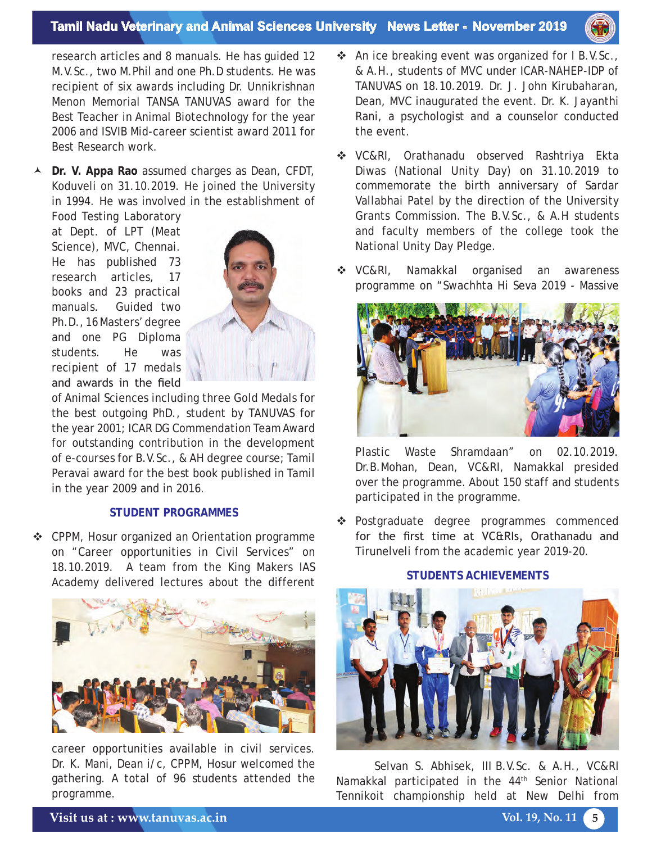#### **Tamil Nadu Veterinary and Animal Sciences University News Letter - November 2019**



research articles and 8 manuals. He has guided 12 M.V.Sc., two M.Phil and one Ph.D students. He was recipient of six awards including Dr. Unnikrishnan Menon Memorial TANSA TANUVAS award for the Best Teacher in Animal Biotechnology for the year 2006 and ISVIB Mid-career scientist award 2011 for Best Research work.

 **Dr. V. Appa Rao** assumed charges as Dean, CFDT, Koduveli on 31.10.2019. He joined the University in 1994. He was involved in the establishment of

Food Testing Laboratory at Dept. of LPT (Meat Science), MVC, Chennai. He has published 73 research articles, 17 books and 23 practical manuals. Guided two Ph.D., 16 Masters' degree and one PG Diploma students. He was recipient of 17 medals and awards in the field



of Animal Sciences including three Gold Medals for the best outgoing PhD., student by TANUVAS for the year 2001; ICAR DG Commendation Team Award for outstanding contribution in the development of e-courses for B.V.Sc., & AH degree course; Tamil Peravai award for the best book published in Tamil in the year 2009 and in 2016.

#### **STUDENT PROGRAMMES**

 CPPM, Hosur organized an Orientation programme on "Career opportunities in Civil Services" on 18.10.2019. A team from the King Makers IAS Academy delivered lectures about the different



career opportunities available in civil services. Dr. K. Mani, Dean i/c, CPPM, Hosur welcomed the gathering. A total of 96 students attended the programme.

- An ice breaking event was organized for I B.V.Sc., & A.H., students of MVC under ICAR-NAHEP-IDP of TANUVAS on 18.10.2019. Dr. J. John Kirubaharan, Dean, MVC inaugurated the event. Dr. K. Jayanthi Rani, a psychologist and a counselor conducted the event.
- VC&RI, Orathanadu observed Rashtriya Ekta Diwas (National Unity Day) on 31.10.2019 to commemorate the birth anniversary of Sardar Vallabhai Patel by the direction of the University Grants Commission. The B.V.Sc., & A.H students and faculty members of the college took the National Unity Day Pledge.
- ◆ VC&RI, Namakkal organised an awareness programme on "Swachhta Hi Seva 2019 - Massive



Plastic Waste Shramdaan" on 02.10.2019. Dr.B.Mohan, Dean, VC&RI, Namakkal presided over the programme. About 150 staff and students participated in the programme.

\* Postgraduate degree programmes commenced for the first time at VC&RIs, Orathanadu and Tirunelveli from the academic year 2019-20.

### **STUDENTS ACHIEVEMENTS**



Selvan S. Abhisek, III B.V.Sc. & A.H., VC&RI Namakkal participated in the 44<sup>th</sup> Senior National Tennikoit championship held at New Delhi from